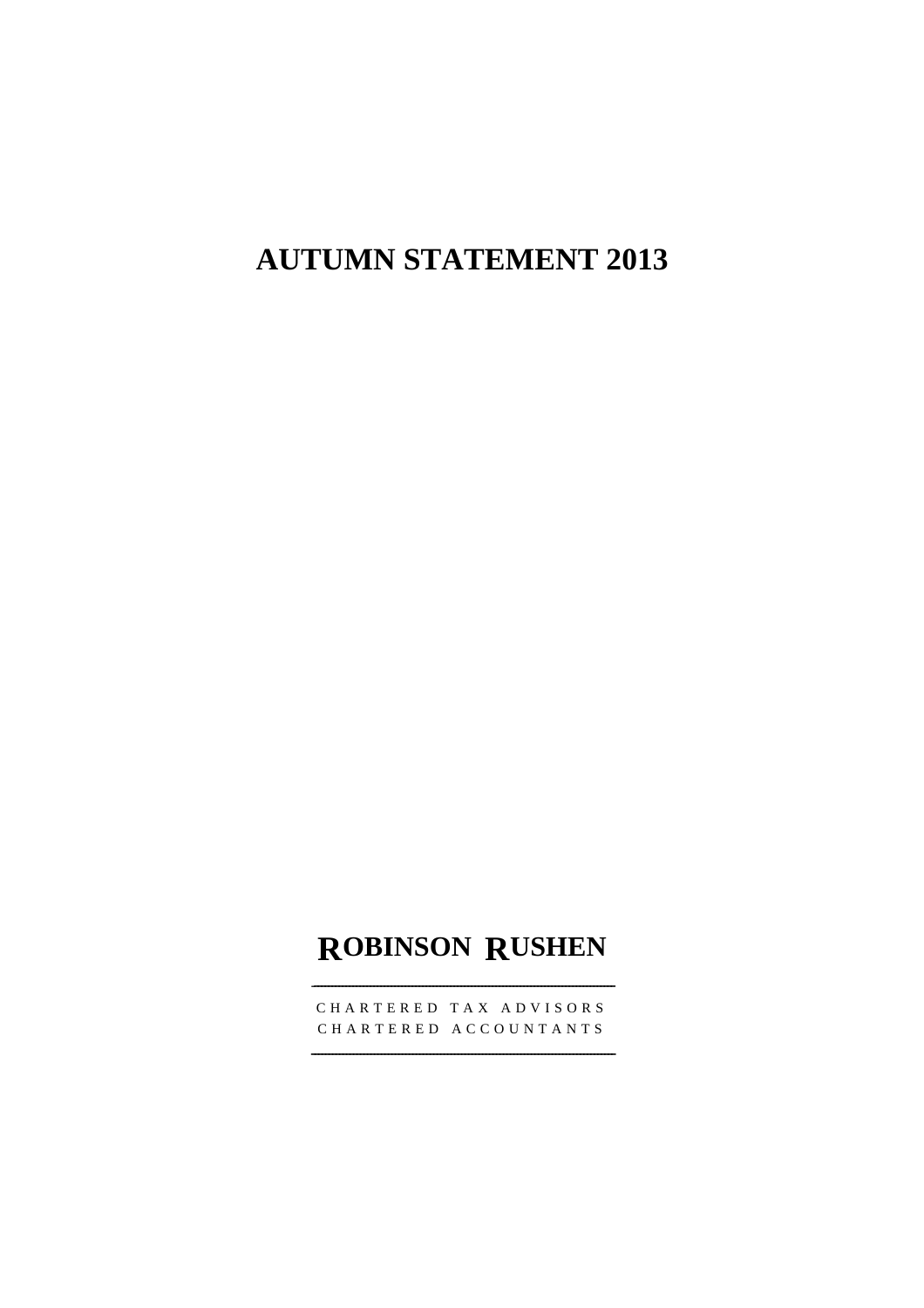# **AUTUMN STATEMENT 2013**

# **ROBINSON RUSHEN**

CHARTERED TAX ADVISORS CHARTERED ACCOUNTANTS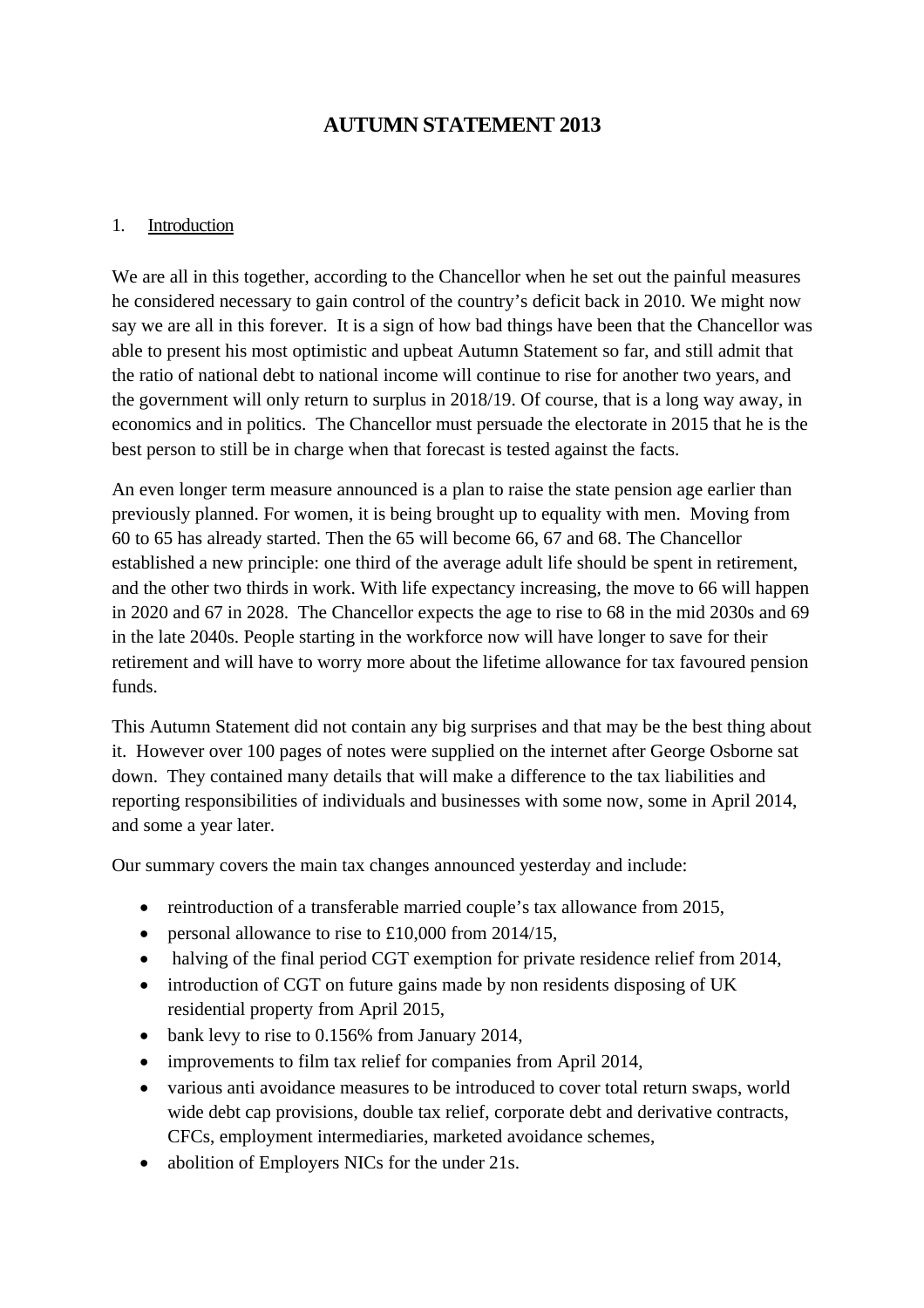## **AUTUMN STATEMENT 2013**

#### 1. Introduction

We are all in this together, according to the Chancellor when he set out the painful measures he considered necessary to gain control of the country's deficit back in 2010. We might now say we are all in this forever. It is a sign of how bad things have been that the Chancellor was able to present his most optimistic and upbeat Autumn Statement so far, and still admit that the ratio of national debt to national income will continue to rise for another two years, and the government will only return to surplus in 2018/19. Of course, that is a long way away, in economics and in politics. The Chancellor must persuade the electorate in 2015 that he is the best person to still be in charge when that forecast is tested against the facts.

An even longer term measure announced is a plan to raise the state pension age earlier than previously planned. For women, it is being brought up to equality with men. Moving from 60 to 65 has already started. Then the 65 will become 66, 67 and 68. The Chancellor established a new principle: one third of the average adult life should be spent in retirement, and the other two thirds in work. With life expectancy increasing, the move to 66 will happen in 2020 and 67 in 2028. The Chancellor expects the age to rise to 68 in the mid 2030s and 69 in the late 2040s. People starting in the workforce now will have longer to save for their retirement and will have to worry more about the lifetime allowance for tax favoured pension funds.

This Autumn Statement did not contain any big surprises and that may be the best thing about it. However over 100 pages of notes were supplied on the internet after George Osborne sat down. They contained many details that will make a difference to the tax liabilities and reporting responsibilities of individuals and businesses with some now, some in April 2014, and some a year later.

Our summary covers the main tax changes announced yesterday and include:

- reintroduction of a transferable married couple's tax allowance from 2015,
- personal allowance to rise to £10,000 from 2014/15,
- halving of the final period CGT exemption for private residence relief from 2014,
- introduction of CGT on future gains made by non residents disposing of UK residential property from April 2015,
- bank levy to rise to 0.156% from January 2014,
- improvements to film tax relief for companies from April 2014,
- various anti avoidance measures to be introduced to cover total return swaps, world wide debt cap provisions, double tax relief, corporate debt and derivative contracts, CFCs, employment intermediaries, marketed avoidance schemes,
- abolition of Employers NICs for the under 21s.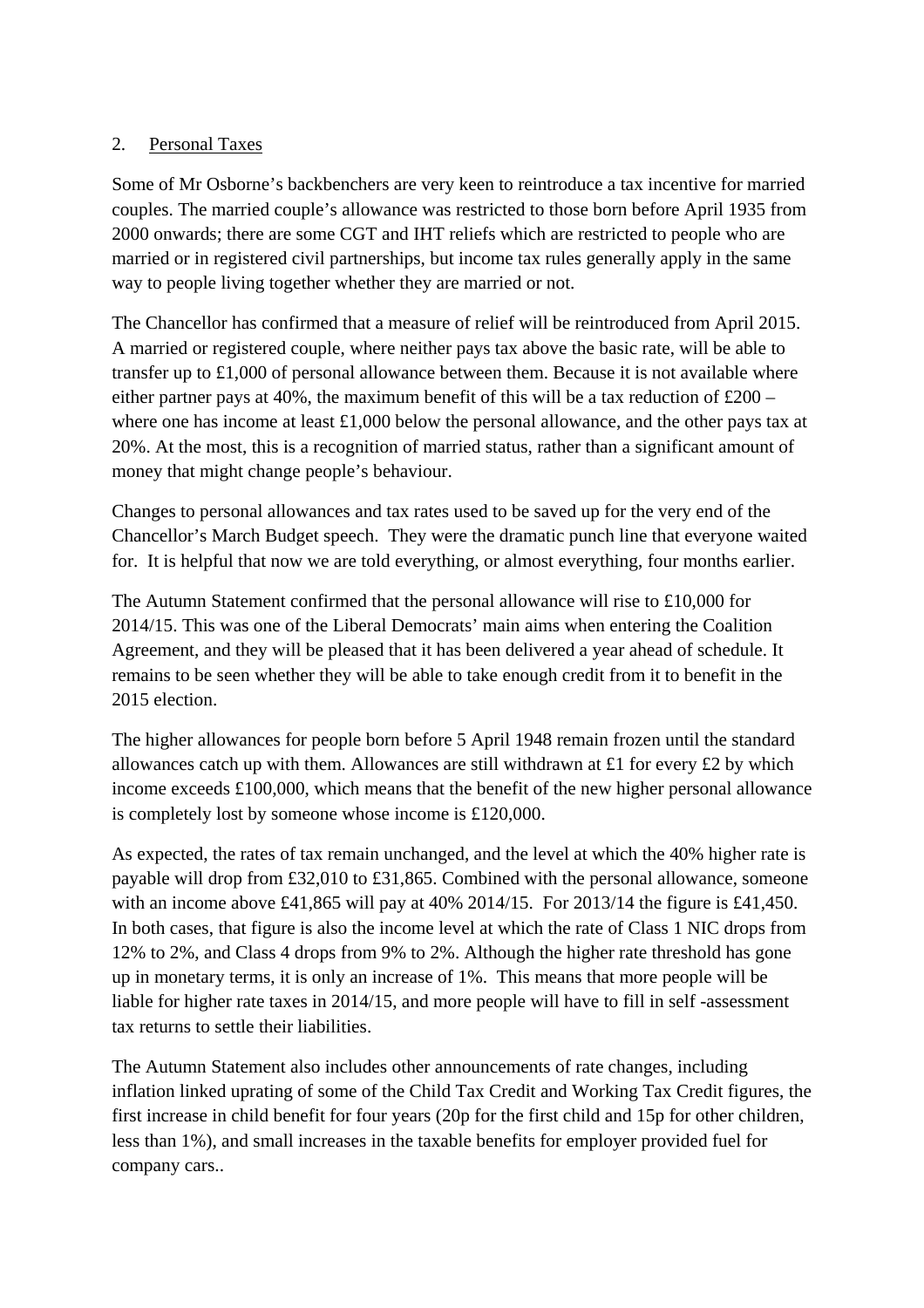### 2. Personal Taxes

Some of Mr Osborne's backbenchers are very keen to reintroduce a tax incentive for married couples. The married couple's allowance was restricted to those born before April 1935 from 2000 onwards; there are some CGT and IHT reliefs which are restricted to people who are married or in registered civil partnerships, but income tax rules generally apply in the same way to people living together whether they are married or not.

The Chancellor has confirmed that a measure of relief will be reintroduced from April 2015. A married or registered couple, where neither pays tax above the basic rate, will be able to transfer up to £1,000 of personal allowance between them. Because it is not available where either partner pays at 40%, the maximum benefit of this will be a tax reduction of  $\text{\pounds}200$  – where one has income at least £1,000 below the personal allowance, and the other pays tax at 20%. At the most, this is a recognition of married status, rather than a significant amount of money that might change people's behaviour.

Changes to personal allowances and tax rates used to be saved up for the very end of the Chancellor's March Budget speech. They were the dramatic punch line that everyone waited for. It is helpful that now we are told everything, or almost everything, four months earlier.

The Autumn Statement confirmed that the personal allowance will rise to £10,000 for 2014/15. This was one of the Liberal Democrats' main aims when entering the Coalition Agreement, and they will be pleased that it has been delivered a year ahead of schedule. It remains to be seen whether they will be able to take enough credit from it to benefit in the 2015 election.

The higher allowances for people born before 5 April 1948 remain frozen until the standard allowances catch up with them. Allowances are still withdrawn at £1 for every £2 by which income exceeds £100,000, which means that the benefit of the new higher personal allowance is completely lost by someone whose income is £120,000.

As expected, the rates of tax remain unchanged, and the level at which the 40% higher rate is payable will drop from £32,010 to £31,865. Combined with the personal allowance, someone with an income above £41,865 will pay at 40% 2014/15. For 2013/14 the figure is £41,450. In both cases, that figure is also the income level at which the rate of Class 1 NIC drops from 12% to 2%, and Class 4 drops from 9% to 2%. Although the higher rate threshold has gone up in monetary terms, it is only an increase of 1%. This means that more people will be liable for higher rate taxes in 2014/15, and more people will have to fill in self -assessment tax returns to settle their liabilities.

The Autumn Statement also includes other announcements of rate changes, including inflation linked uprating of some of the Child Tax Credit and Working Tax Credit figures, the first increase in child benefit for four years (20p for the first child and 15p for other children, less than 1%), and small increases in the taxable benefits for employer provided fuel for company cars..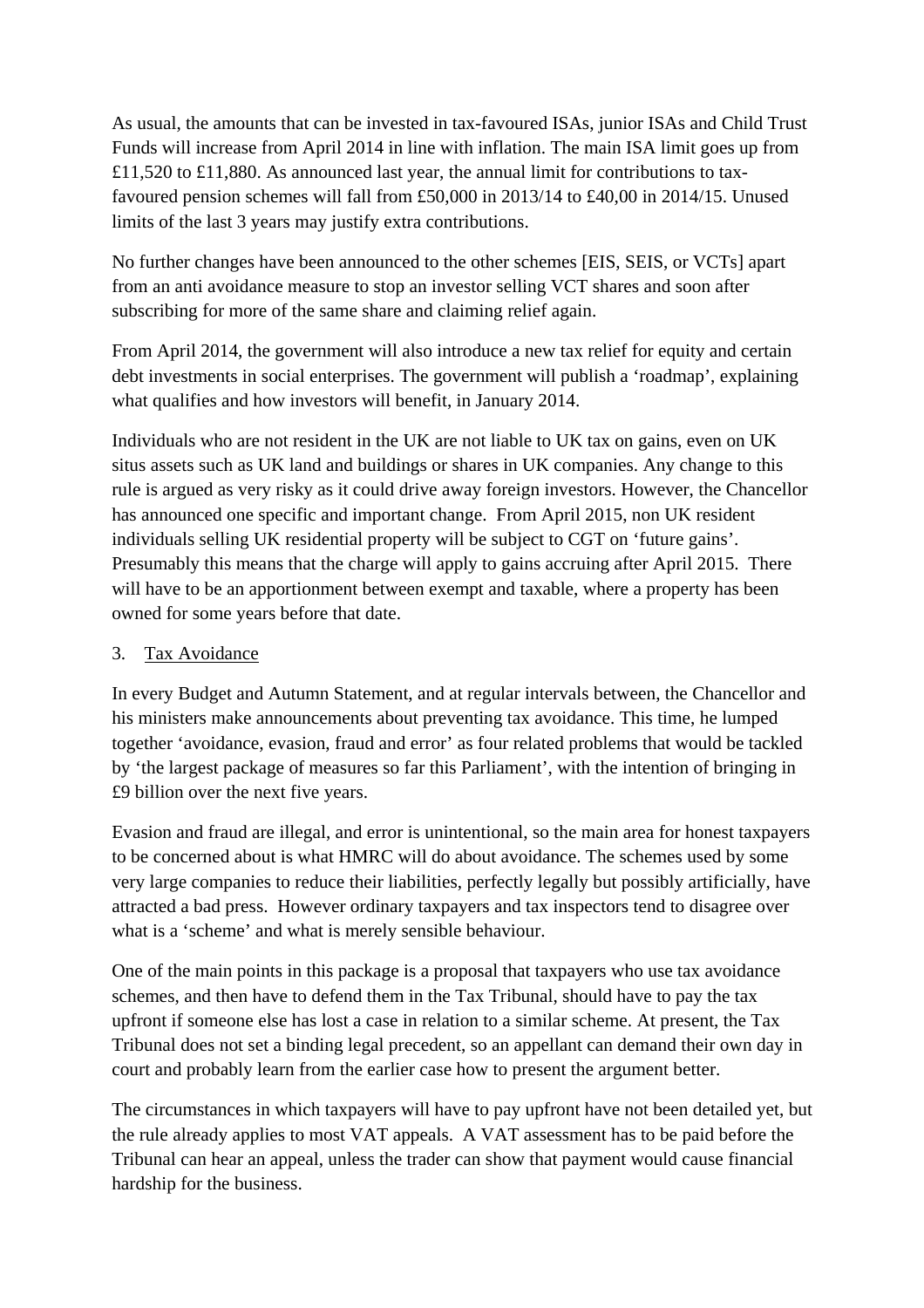As usual, the amounts that can be invested in tax-favoured ISAs, junior ISAs and Child Trust Funds will increase from April 2014 in line with inflation. The main ISA limit goes up from £11,520 to £11,880. As announced last year, the annual limit for contributions to taxfavoured pension schemes will fall from £50,000 in 2013/14 to £40,00 in 2014/15. Unused limits of the last 3 years may justify extra contributions.

No further changes have been announced to the other schemes [EIS, SEIS, or VCTs] apart from an anti avoidance measure to stop an investor selling VCT shares and soon after subscribing for more of the same share and claiming relief again.

From April 2014, the government will also introduce a new tax relief for equity and certain debt investments in social enterprises. The government will publish a 'roadmap', explaining what qualifies and how investors will benefit, in January 2014.

Individuals who are not resident in the UK are not liable to UK tax on gains, even on UK situs assets such as UK land and buildings or shares in UK companies. Any change to this rule is argued as very risky as it could drive away foreign investors. However, the Chancellor has announced one specific and important change. From April 2015, non UK resident individuals selling UK residential property will be subject to CGT on 'future gains'. Presumably this means that the charge will apply to gains accruing after April 2015. There will have to be an apportionment between exempt and taxable, where a property has been owned for some years before that date.

## 3. Tax Avoidance

In every Budget and Autumn Statement, and at regular intervals between, the Chancellor and his ministers make announcements about preventing tax avoidance. This time, he lumped together 'avoidance, evasion, fraud and error' as four related problems that would be tackled by 'the largest package of measures so far this Parliament', with the intention of bringing in £9 billion over the next five years.

Evasion and fraud are illegal, and error is unintentional, so the main area for honest taxpayers to be concerned about is what HMRC will do about avoidance. The schemes used by some very large companies to reduce their liabilities, perfectly legally but possibly artificially, have attracted a bad press. However ordinary taxpayers and tax inspectors tend to disagree over what is a 'scheme' and what is merely sensible behaviour.

One of the main points in this package is a proposal that taxpayers who use tax avoidance schemes, and then have to defend them in the Tax Tribunal, should have to pay the tax upfront if someone else has lost a case in relation to a similar scheme. At present, the Tax Tribunal does not set a binding legal precedent, so an appellant can demand their own day in court and probably learn from the earlier case how to present the argument better.

The circumstances in which taxpayers will have to pay upfront have not been detailed yet, but the rule already applies to most VAT appeals. A VAT assessment has to be paid before the Tribunal can hear an appeal, unless the trader can show that payment would cause financial hardship for the business.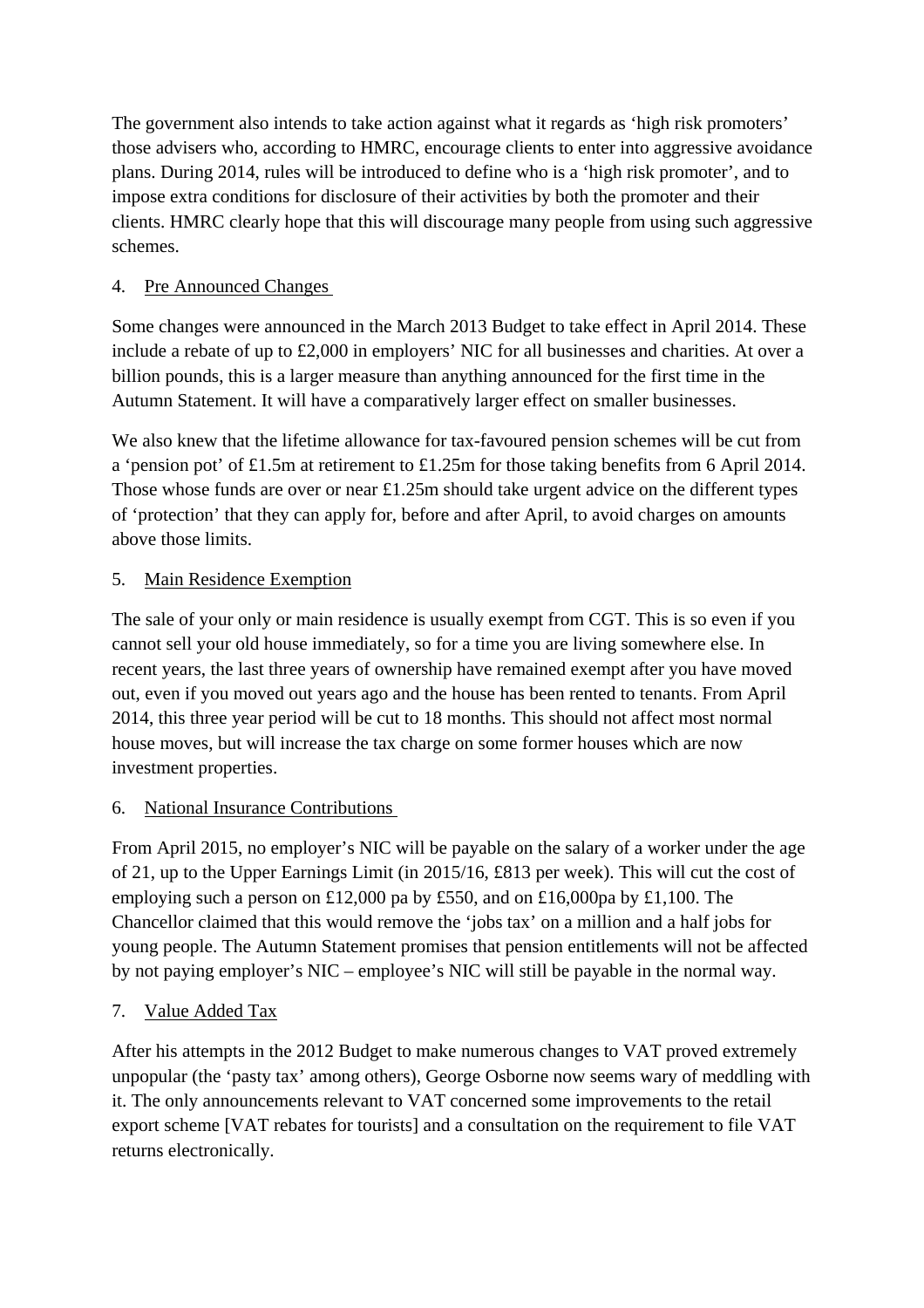The government also intends to take action against what it regards as 'high risk promoters' those advisers who, according to HMRC, encourage clients to enter into aggressive avoidance plans. During 2014, rules will be introduced to define who is a 'high risk promoter', and to impose extra conditions for disclosure of their activities by both the promoter and their clients. HMRC clearly hope that this will discourage many people from using such aggressive schemes.

## 4. Pre Announced Changes

Some changes were announced in the March 2013 Budget to take effect in April 2014. These include a rebate of up to £2,000 in employers' NIC for all businesses and charities. At over a billion pounds, this is a larger measure than anything announced for the first time in the Autumn Statement. It will have a comparatively larger effect on smaller businesses.

We also knew that the lifetime allowance for tax-favoured pension schemes will be cut from a 'pension pot' of £1.5m at retirement to £1.25m for those taking benefits from 6 April 2014. Those whose funds are over or near £1.25m should take urgent advice on the different types of 'protection' that they can apply for, before and after April, to avoid charges on amounts above those limits.

## 5. Main Residence Exemption

The sale of your only or main residence is usually exempt from CGT. This is so even if you cannot sell your old house immediately, so for a time you are living somewhere else. In recent years, the last three years of ownership have remained exempt after you have moved out, even if you moved out years ago and the house has been rented to tenants. From April 2014, this three year period will be cut to 18 months. This should not affect most normal house moves, but will increase the tax charge on some former houses which are now investment properties.

## 6. National Insurance Contributions

From April 2015, no employer's NIC will be payable on the salary of a worker under the age of 21, up to the Upper Earnings Limit (in 2015/16, £813 per week). This will cut the cost of employing such a person on £12,000 pa by £550, and on £16,000pa by £1,100. The Chancellor claimed that this would remove the 'jobs tax' on a million and a half jobs for young people. The Autumn Statement promises that pension entitlements will not be affected by not paying employer's NIC – employee's NIC will still be payable in the normal way.

## 7. Value Added Tax

After his attempts in the 2012 Budget to make numerous changes to VAT proved extremely unpopular (the 'pasty tax' among others), George Osborne now seems wary of meddling with it. The only announcements relevant to VAT concerned some improvements to the retail export scheme [VAT rebates for tourists] and a consultation on the requirement to file VAT returns electronically.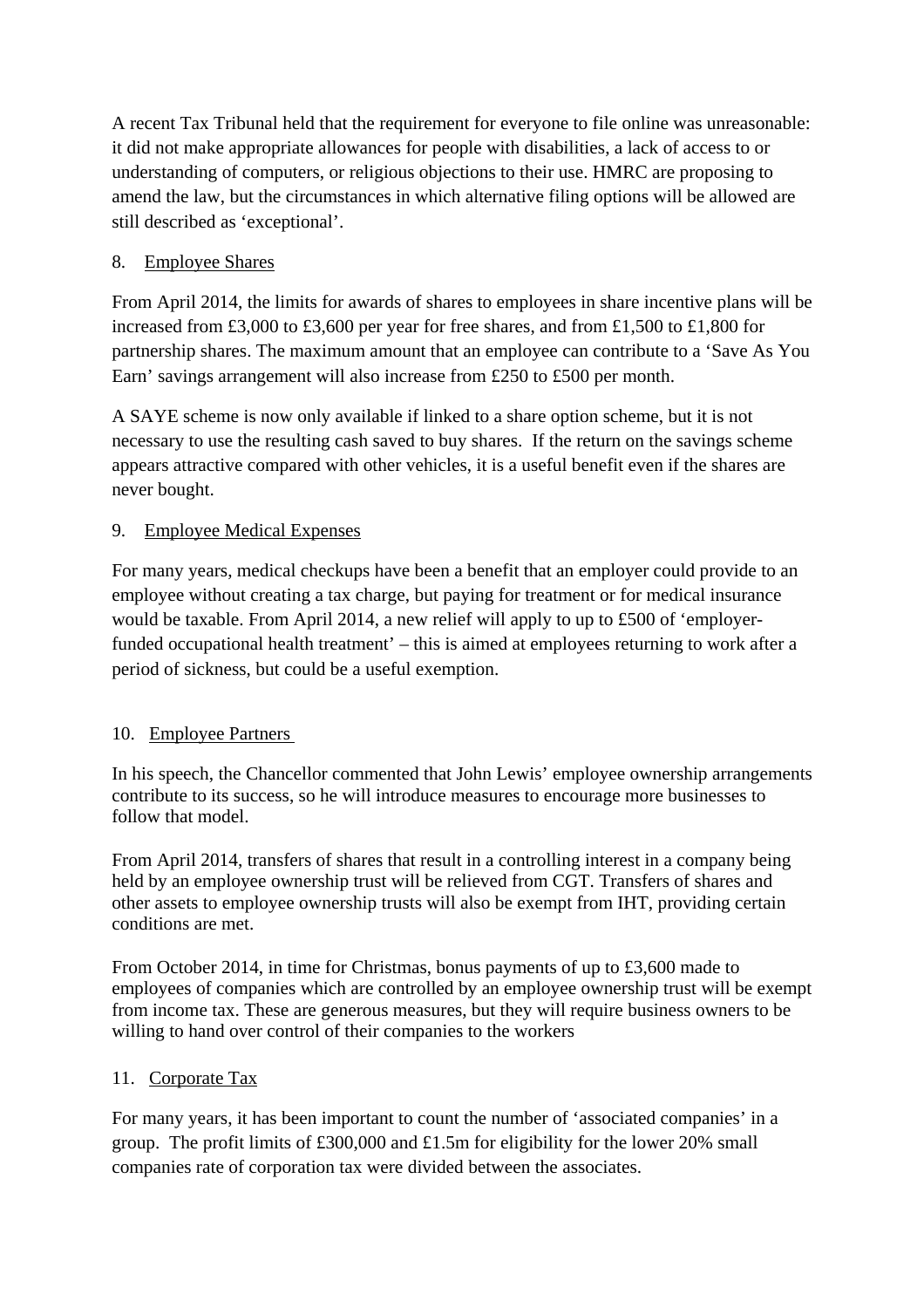A recent Tax Tribunal held that the requirement for everyone to file online was unreasonable: it did not make appropriate allowances for people with disabilities, a lack of access to or understanding of computers, or religious objections to their use. HMRC are proposing to amend the law, but the circumstances in which alternative filing options will be allowed are still described as 'exceptional'.

## 8. Employee Shares

From April 2014, the limits for awards of shares to employees in share incentive plans will be increased from £3,000 to £3,600 per year for free shares, and from £1,500 to £1,800 for partnership shares. The maximum amount that an employee can contribute to a 'Save As You Earn' savings arrangement will also increase from £250 to £500 per month.

A SAYE scheme is now only available if linked to a share option scheme, but it is not necessary to use the resulting cash saved to buy shares. If the return on the savings scheme appears attractive compared with other vehicles, it is a useful benefit even if the shares are never bought.

## 9. Employee Medical Expenses

For many years, medical checkups have been a benefit that an employer could provide to an employee without creating a tax charge, but paying for treatment or for medical insurance would be taxable. From April 2014, a new relief will apply to up to £500 of 'employerfunded occupational health treatment' – this is aimed at employees returning to work after a period of sickness, but could be a useful exemption.

### 10. Employee Partners

In his speech, the Chancellor commented that John Lewis' employee ownership arrangements contribute to its success, so he will introduce measures to encourage more businesses to follow that model.

From April 2014, transfers of shares that result in a controlling interest in a company being held by an employee ownership trust will be relieved from CGT. Transfers of shares and other assets to employee ownership trusts will also be exempt from IHT, providing certain conditions are met.

From October 2014, in time for Christmas, bonus payments of up to £3,600 made to employees of companies which are controlled by an employee ownership trust will be exempt from income tax. These are generous measures, but they will require business owners to be willing to hand over control of their companies to the workers

### 11. Corporate Tax

For many years, it has been important to count the number of 'associated companies' in a group. The profit limits of £300,000 and £1.5m for eligibility for the lower 20% small companies rate of corporation tax were divided between the associates.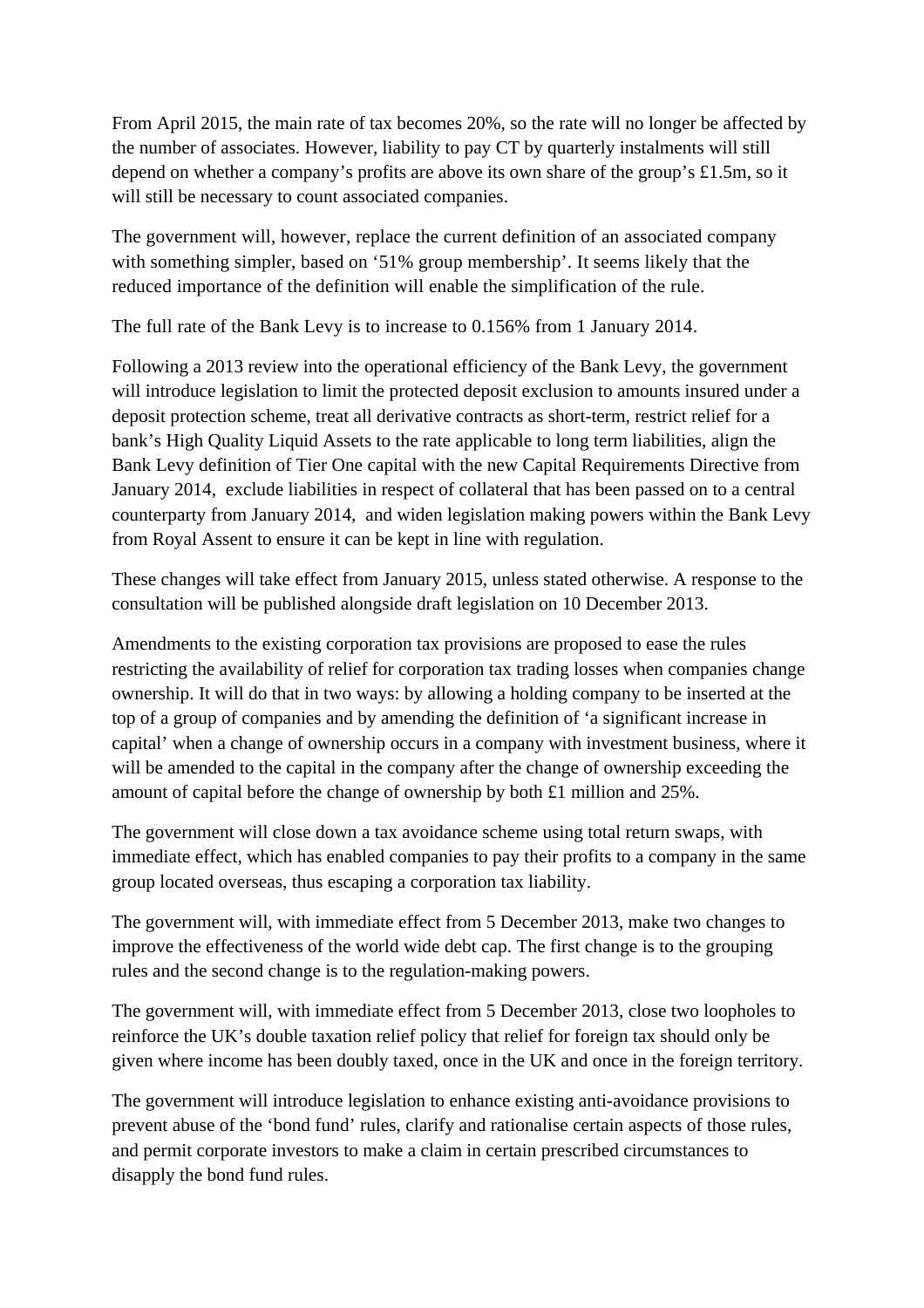From April 2015, the main rate of tax becomes 20%, so the rate will no longer be affected by the number of associates. However, liability to pay CT by quarterly instalments will still depend on whether a company's profits are above its own share of the group's £1.5m, so it will still be necessary to count associated companies.

The government will, however, replace the current definition of an associated company with something simpler, based on '51% group membership'. It seems likely that the reduced importance of the definition will enable the simplification of the rule.

The full rate of the Bank Levy is to increase to 0.156% from 1 January 2014.

Following a 2013 review into the operational efficiency of the Bank Levy, the government will introduce legislation to limit the protected deposit exclusion to amounts insured under a deposit protection scheme, treat all derivative contracts as short-term, restrict relief for a bank's High Quality Liquid Assets to the rate applicable to long term liabilities, align the Bank Levy definition of Tier One capital with the new Capital Requirements Directive from January 2014, exclude liabilities in respect of collateral that has been passed on to a central counterparty from January 2014, and widen legislation making powers within the Bank Levy from Royal Assent to ensure it can be kept in line with regulation.

These changes will take effect from January 2015, unless stated otherwise. A response to the consultation will be published alongside draft legislation on 10 December 2013.

Amendments to the existing corporation tax provisions are proposed to ease the rules restricting the availability of relief for corporation tax trading losses when companies change ownership. It will do that in two ways: by allowing a holding company to be inserted at the top of a group of companies and by amending the definition of 'a significant increase in capital' when a change of ownership occurs in a company with investment business, where it will be amended to the capital in the company after the change of ownership exceeding the amount of capital before the change of ownership by both £1 million and 25%.

The government will close down a tax avoidance scheme using total return swaps, with immediate effect, which has enabled companies to pay their profits to a company in the same group located overseas, thus escaping a corporation tax liability.

The government will, with immediate effect from 5 December 2013, make two changes to improve the effectiveness of the world wide debt cap. The first change is to the grouping rules and the second change is to the regulation-making powers.

The government will, with immediate effect from 5 December 2013, close two loopholes to reinforce the UK's double taxation relief policy that relief for foreign tax should only be given where income has been doubly taxed, once in the UK and once in the foreign territory.

The government will introduce legislation to enhance existing anti-avoidance provisions to prevent abuse of the 'bond fund' rules, clarify and rationalise certain aspects of those rules, and permit corporate investors to make a claim in certain prescribed circumstances to disapply the bond fund rules.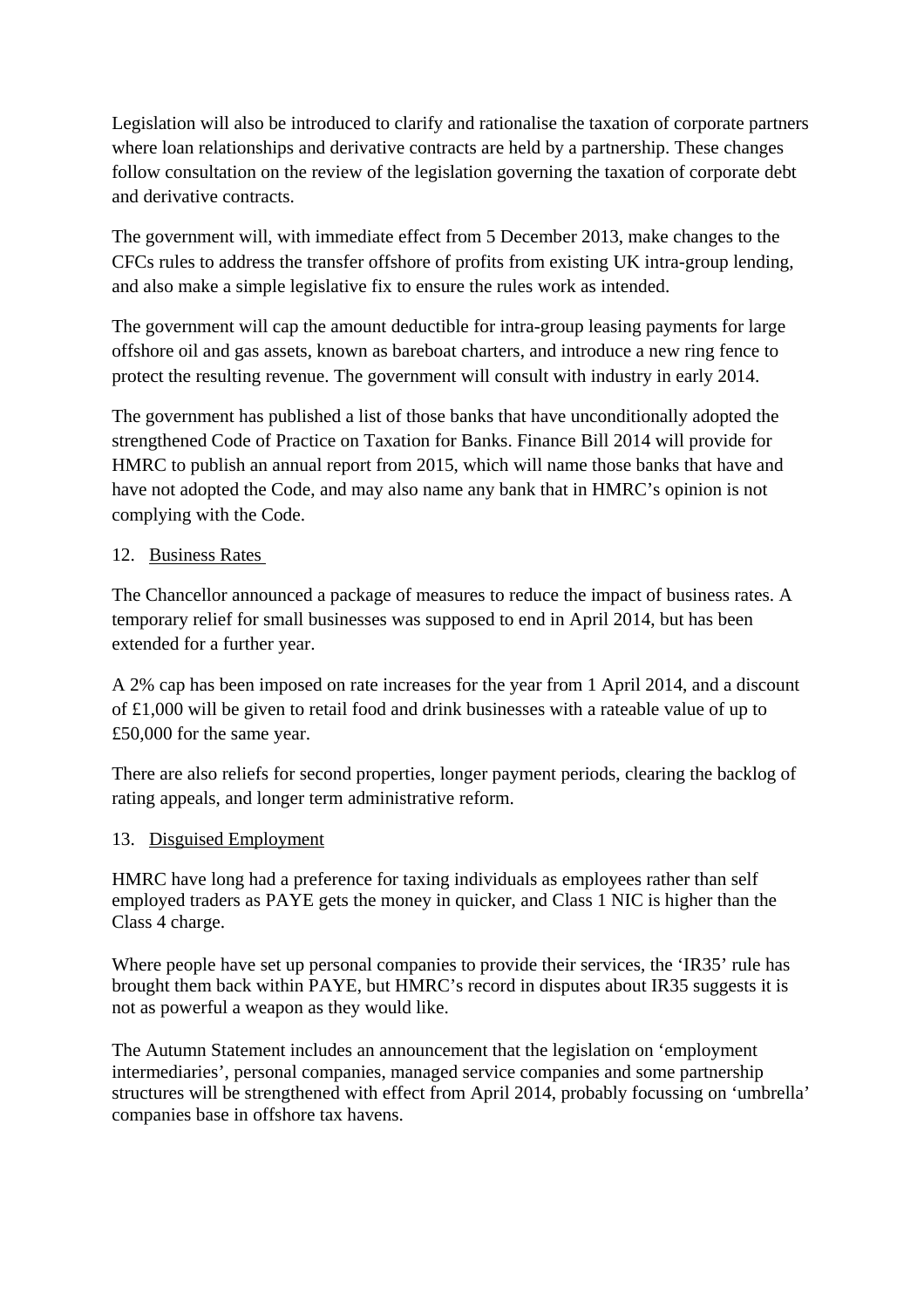Legislation will also be introduced to clarify and rationalise the taxation of corporate partners where loan relationships and derivative contracts are held by a partnership. These changes follow consultation on the review of the legislation governing the taxation of corporate debt and derivative contracts.

The government will, with immediate effect from 5 December 2013, make changes to the CFCs rules to address the transfer offshore of profits from existing UK intra-group lending, and also make a simple legislative fix to ensure the rules work as intended.

The government will cap the amount deductible for intra-group leasing payments for large offshore oil and gas assets, known as bareboat charters, and introduce a new ring fence to protect the resulting revenue. The government will consult with industry in early 2014.

The government has published a list of those banks that have unconditionally adopted the strengthened Code of Practice on Taxation for Banks. Finance Bill 2014 will provide for HMRC to publish an annual report from 2015, which will name those banks that have and have not adopted the Code, and may also name any bank that in HMRC's opinion is not complying with the Code.

## 12. Business Rates

The Chancellor announced a package of measures to reduce the impact of business rates. A temporary relief for small businesses was supposed to end in April 2014, but has been extended for a further year.

A 2% cap has been imposed on rate increases for the year from 1 April 2014, and a discount of £1,000 will be given to retail food and drink businesses with a rateable value of up to £50,000 for the same year.

There are also reliefs for second properties, longer payment periods, clearing the backlog of rating appeals, and longer term administrative reform.

### 13. Disguised Employment

HMRC have long had a preference for taxing individuals as employees rather than self employed traders as PAYE gets the money in quicker, and Class 1 NIC is higher than the Class 4 charge.

Where people have set up personal companies to provide their services, the 'IR35' rule has brought them back within PAYE, but HMRC's record in disputes about IR35 suggests it is not as powerful a weapon as they would like.

The Autumn Statement includes an announcement that the legislation on 'employment intermediaries', personal companies, managed service companies and some partnership structures will be strengthened with effect from April 2014, probably focussing on 'umbrella' companies base in offshore tax havens.